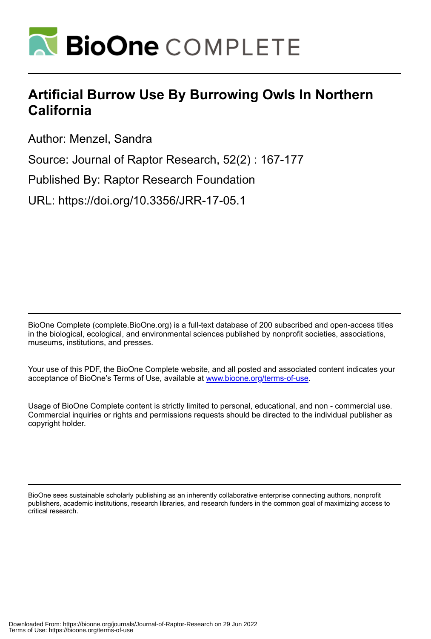

# **Artificial Burrow Use By Burrowing Owls In Northern California**

Author: Menzel, Sandra

Source: Journal of Raptor Research, 52(2) : 167-177

Published By: Raptor Research Foundation

URL: https://doi.org/10.3356/JRR-17-05.1

BioOne Complete (complete.BioOne.org) is a full-text database of 200 subscribed and open-access titles in the biological, ecological, and environmental sciences published by nonprofit societies, associations, museums, institutions, and presses.

Your use of this PDF, the BioOne Complete website, and all posted and associated content indicates your acceptance of BioOne's Terms of Use, available at www.bioone.org/terms-of-use.

Usage of BioOne Complete content is strictly limited to personal, educational, and non - commercial use. Commercial inquiries or rights and permissions requests should be directed to the individual publisher as copyright holder.

BioOne sees sustainable scholarly publishing as an inherently collaborative enterprise connecting authors, nonprofit publishers, academic institutions, research libraries, and research funders in the common goal of maximizing access to critical research.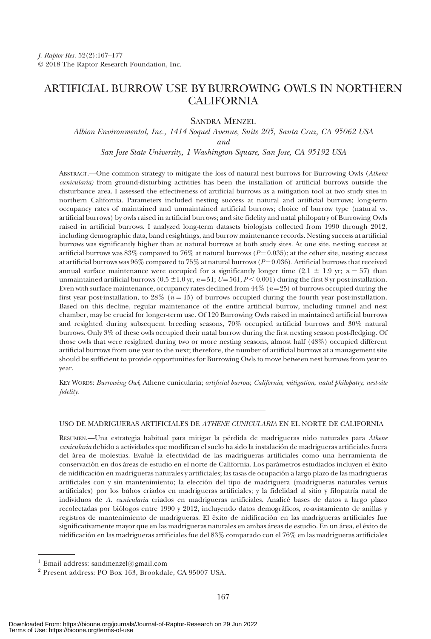## ARTIFICIAL BURROW USE BY BURROWING OWLS IN NORTHERN **CALIFORNIA**

SANDRA MENZEL

Albion Environmental, Inc., 1414 Soquel Avenue, Suite 205, Santa Cruz, CA 95062 USA and

San Jose State University, 1 Washington Square, San Jose, CA 95192 USA

ABSTRACT.—One common strategy to mitigate the loss of natural nest burrows for Burrowing Owls (Athene cunicularia) from ground-disturbing activities has been the installation of artificial burrows outside the disturbance area. I assessed the effectiveness of artificial burrows as a mitigation tool at two study sites in northern California. Parameters included nesting success at natural and artificial burrows; long-term occupancy rates of maintained and unmaintained artificial burrows; choice of burrow type (natural vs. artificial burrows) by owls raised in artificial burrows; and site fidelity and natal philopatry of Burrowing Owls raised in artificial burrows. I analyzed long-term datasets biologists collected from 1990 through 2012, including demographic data, band resightings, and burrow maintenance records. Nesting success at artificial burrows was significantly higher than at natural burrows at both study sites. At one site, nesting success at artificial burrows was  $83\%$  compared to 76% at natural burrows ( $P=0.035$ ); at the other site, nesting success at artificial burrows was  $96\%$  compared to  $75\%$  at natural burrows ( $P=0.036$ ). Artificial burrows that received annual surface maintenance were occupied for a significantly longer time (2.1  $\pm$  1.9 yr; n = 57) than unmaintained artificial burrows (0.5 ±1.0 yr, n=51; U=561, P < 0.001) during the first 8 yr post-installation. Even with surface maintenance, occupancy rates declined from  $44\%$  ( $n=25$ ) of burrows occupied during the first year post-installation, to 28% ( $n = 15$ ) of burrows occupied during the fourth year post-installation. Based on this decline, regular maintenance of the entire artificial burrow, including tunnel and nest chamber, may be crucial for longer-term use. Of 120 Burrowing Owls raised in maintained artificial burrows and resighted during subsequent breeding seasons, 70% occupied artificial burrows and 30% natural burrows. Only 3% of these owls occupied their natal burrow during the first nesting season post-fledging. Of those owls that were resighted during two or more nesting seasons, almost half (48%) occupied different artificial burrows from one year to the next; therefore, the number of artificial burrows at a management site should be sufficient to provide opportunities for Burrowing Owls to move between nest burrows from year to year.

KEY WORDS: Burrowing Owl; Athene cunicularia; artificial burrow; California; mitigation; natal philopatry; nest-site fidelity.

#### USO DE MADRIGUERAS ARTIFICIALES DE ATHENE CUNICULARIA EN EL NORTE DE CALIFORNIA

RESUMEN.—Una estrategia habitual para mitigar la pérdida de madrigueras nido naturales para Athene cunicularia debido a actividades que modifican el suelo ha sido la instalación de madrigueras artificiales fuera del área de molestias. Evalué la efectividad de las madrigueras artificiales como una herramienta de conservación en dos áreas de estudio en el norte de California. Los parámetros estudiados incluyen el éxito de nidificación en madrigueras naturales y artificiales; las tasas de ocupación a largo plazo de las madrigueras artificiales con y sin mantenimiento; la elección del tipo de madriguera (madrigueras naturales versus artificiales) por los búhos criados en madrigueras artificiales; y la fidelidad al sitio y filopatría natal de individuos de A. cunicularia criados en madrigueras artificiales. Analicé bases de datos a largo plazo recolectadas por biólogos entre 1990 y 2012, incluyendo datos demográficos, re-avistamiento de anillas y registros de mantenimiento de madrigueras. El éxito de nidificación en las madrigueras artificiales fue significativamente mayor que en las madrigueras naturales en ambas áreas de estudio. En un área, el éxito de nidificacio´n en las madrigueras artificiales fue del 83% comparado con el 76% en las madrigueras artificiales

<sup>1</sup> Email address: sandmenzel@gmail.com

<sup>2</sup> Present address: PO Box 163, Brookdale, CA 95007 USA.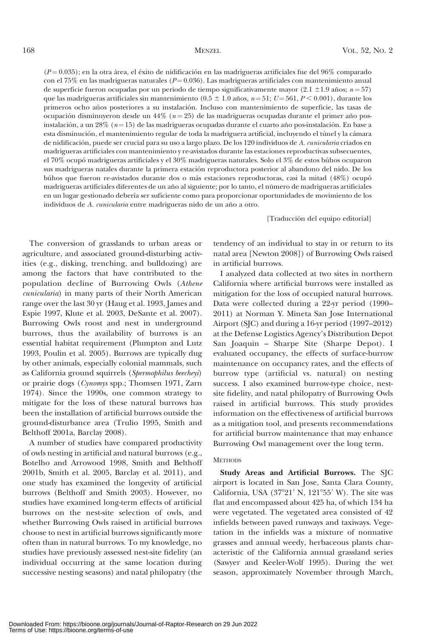$(P = 0.035)$ ; en la otra área, el éxito de nidificación en las madrigueras artificiales fue del 96% comparado con el 75% en las madrigueras naturales ( $P = 0.036$ ). Las madrigueras artificiales con mantenimiento anual de superficie fueron ocupadas por un periodo de tiempo significativamente mayor (2.1 ± 1.9 años;  $n = 57$ ) que las madrigueras artificiales sin mantenimiento (0.5  $\pm$  1.0 años, n = 51; U = 561, P < 0.001), durante los primeros ocho años posteriores a su instalación. Incluso con mantenimiento de superficie, las tasas de ocupación disminuyeron desde un 44% ( $n = 25$ ) de las madrigueras ocupadas durante el primer año posinstalación, a un 28% ( $n=15$ ) de las madrigueras ocupadas durante el cuarto año pos-instalación. En base a esta disminución, el mantenimiento regular de toda la madriguera artificial, incluyendo el túnel y la cámara de nidificación, puede ser crucial para su uso a largo plazo. De los 120 individuos de A. cunicularia criados en madrigueras artificiales con mantenimiento y re-avistados durante las estaciones reproductivas subsecuentes, el 70% ocupó madrigueras artificiales y el 30% madrigueras naturales. Solo el 3% de estos búhos ocuparon sus madrigueras natales durante la primera estación reproductora posterior al abandono del nido. De los búhos que fueron re-avistados durante dos o más estaciones reproductoras, casi la mitad (48%) ocupó madrigueras artificiales diferentes de un año al siguiente; por lo tanto, el número de madrigueras artificiales en un lugar gestionado debería ser suficiente como para proporcionar oportunidades de movimiento de los individuos de A. cunicularia entre madrigueras nido de un año a otro.

[Traducción del equipo editorial]

The conversion of grasslands to urban areas or agriculture, and associated ground-disturbing activities (e.g., disking, trenching, and bulldozing) are among the factors that have contributed to the population decline of Burrowing Owls (Athene cunicularia) in many parts of their North American range over the last 30 yr (Haug et al. 1993, James and Espie 1997, Klute et al. 2003, DeSante et al. 2007). Burrowing Owls roost and nest in underground burrows, thus the availability of burrows is an essential habitat requirement (Plumpton and Lutz 1993, Poulin et al. 2005). Burrows are typically dug by other animals, especially colonial mammals, such as California ground squirrels (Spermophilus beecheyi) or prairie dogs (Cynomys spp.; Thomsen 1971, Zarn 1974). Since the 1990s, one common strategy to mitigate for the loss of these natural burrows has been the installation of artificial burrows outside the ground-disturbance area (Trulio 1995, Smith and Belthoff 2001a, Barclay 2008).

A number of studies have compared productivity of owls nesting in artificial and natural burrows (e.g., Botelho and Arrowood 1998, Smith and Belthoff 2001b, Smith et al. 2005, Barclay et al. 2011), and one study has examined the longevity of artificial burrows (Belthoff and Smith 2003). However, no studies have examined long-term effects of artificial burrows on the nest-site selection of owls, and whether Burrowing Owls raised in artificial burrows choose to nest in artificial burrows significantly more often than in natural burrows. To my knowledge, no studies have previously assessed nest-site fidelity (an individual occurring at the same location during successive nesting seasons) and natal philopatry (the

tendency of an individual to stay in or return to its natal area [Newton 2008]) of Burrowing Owls raised in artificial burrows.

I analyzed data collected at two sites in northern California where artificial burrows were installed as mitigation for the loss of occupied natural burrows. Data were collected during a 22-yr period (1990– 2011) at Norman Y. Mineta San Jose International Airport (SJC) and during a 16-yr period (1997–2012) at the Defense Logistics Agency's Distribution Depot San Joaquin – Sharpe Site (Sharpe Depot). I evaluated occupancy, the effects of surface-burrow maintenance on occupancy rates, and the effects of burrow type (artificial vs. natural) on nesting success. I also examined burrow-type choice, nestsite fidelity, and natal philopatry of Burrowing Owls raised in artificial burrows. This study provides information on the effectiveness of artificial burrows as a mitigation tool, and presents recommendations for artificial burrow maintenance that may enhance Burrowing Owl management over the long term.

#### METHODS

Study Areas and Artificial Burrows. The SJC airport is located in San Jose, Santa Clara County, California, USA  $(37°21'$  N,  $121°55'$  W). The site was flat and encompassed about 425 ha, of which 134 ha were vegetated. The vegetated area consisted of 42 infields between paved runways and taxiways. Vegetation in the infields was a mixture of nonnative grasses and annual weedy, herbaceous plants characteristic of the California annual grassland series (Sawyer and Keeler-Wolf 1995). During the wet season, approximately November through March,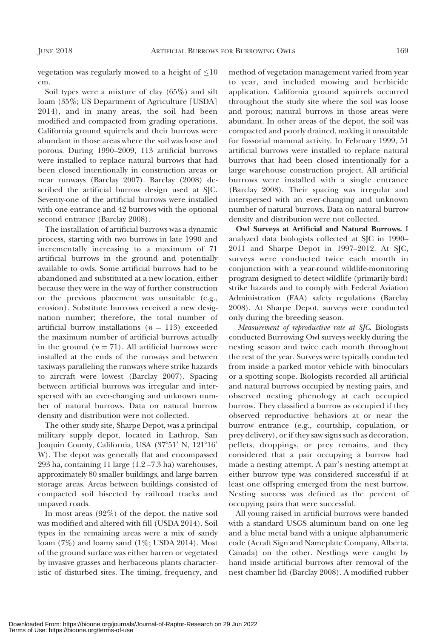vegetation was regularly mowed to a height of  $\leq 10$ cm.

Soil types were a mixture of clay (65%) and silt loam (35%; US Department of Agriculture [USDA] 2014), and in many areas, the soil had been modified and compacted from grading operations. California ground squirrels and their burrows were abundant in those areas where the soil was loose and porous. During 1990–2009, 113 artificial burrows were installed to replace natural burrows that had been closed intentionally in construction areas or near runways (Barclay 2007). Barclay (2008) described the artificial burrow design used at SJC. Seventy-one of the artificial burrows were installed with one entrance and 42 burrows with the optional second entrance (Barclay 2008).

The installation of artificial burrows was a dynamic process, starting with two burrows in late 1990 and incrementally increasing to a maximum of 71 artificial burrows in the ground and potentially available to owls. Some artificial burrows had to be abandoned and substituted at a new location, either because they were in the way of further construction or the previous placement was unsuitable (e.g., erosion). Substitute burrows received a new designation number; therefore, the total number of artificial burrow installations ( $n = 113$ ) exceeded the maximum number of artificial burrows actually in the ground  $(n = 71)$ . All artificial burrows were installed at the ends of the runways and between taxiways paralleling the runways where strike hazards to aircraft were lowest (Barclay 2007). Spacing between artificial burrows was irregular and interspersed with an ever-changing and unknown number of natural burrows. Data on natural burrow density and distribution were not collected.

The other study site, Sharpe Depot, was a principal military supply depot, located in Lathrop, San Joaquin County, California, USA (37°51′ N, 121°16′ W). The depot was generally flat and encompassed 293 ha, containing 11 large (1.2 –7.3 ha) warehouses, approximately 80 smaller buildings, and large barren storage areas. Areas between buildings consisted of compacted soil bisected by railroad tracks and unpaved roads.

In most areas (92%) of the depot, the native soil was modified and altered with fill (USDA 2014). Soil types in the remaining areas were a mix of sandy loam (7%) and loamy sand (1%; USDA 2014). Most of the ground surface was either barren or vegetated by invasive grasses and herbaceous plants characteristic of disturbed sites. The timing, frequency, and

method of vegetation management varied from year to year, and included mowing and herbicide application. California ground squirrels occurred throughout the study site where the soil was loose and porous; natural burrows in those areas were abundant. In other areas of the depot, the soil was compacted and poorly drained, making it unsuitable for fossorial mammal activity. In February 1999, 51 artificial burrows were installed to replace natural burrows that had been closed intentionally for a large warehouse construction project. All artificial burrows were installed with a single entrance (Barclay 2008). Their spacing was irregular and interspersed with an ever-changing and unknown number of natural burrows. Data on natural burrow density and distribution were not collected.

Owl Surveys at Artificial and Natural Burrows. I analyzed data biologists collected at SJC in 1990– 2011 and Sharpe Depot in 1997–2012. At SJC, surveys were conducted twice each month in conjunction with a year-round wildlife-monitoring program designed to detect wildlife (primarily bird) strike hazards and to comply with Federal Aviation Administration (FAA) safety regulations (Barclay 2008). At Sharpe Depot, surveys were conducted only during the breeding season.

Measurement of reproductive rate at SJC. Biologists conducted Burrowing Owl surveys weekly during the nesting season and twice each month throughout the rest of the year. Surveys were typically conducted from inside a parked motor vehicle with binoculars or a spotting scope. Biologists recorded all artificial and natural burrows occupied by nesting pairs, and observed nesting phenology at each occupied burrow. They classified a burrow as occupied if they observed reproductive behaviors at or near the burrow entrance (e.g., courtship, copulation, or prey delivery), or if they saw signs such as decoration, pellets, droppings, or prey remains, and they considered that a pair occupying a burrow had made a nesting attempt. A pair's nesting attempt at either burrow type was considered successful if at least one offspring emerged from the nest burrow. Nesting success was defined as the percent of occupying pairs that were successful.

All young raised in artificial burrows were banded with a standard USGS aluminum band on one leg and a blue metal band with a unique alphanumeric code (Acraft Sign and Nameplate Company, Alberta, Canada) on the other. Nestlings were caught by hand inside artificial burrows after removal of the nest chamber lid (Barclay 2008). A modified rubber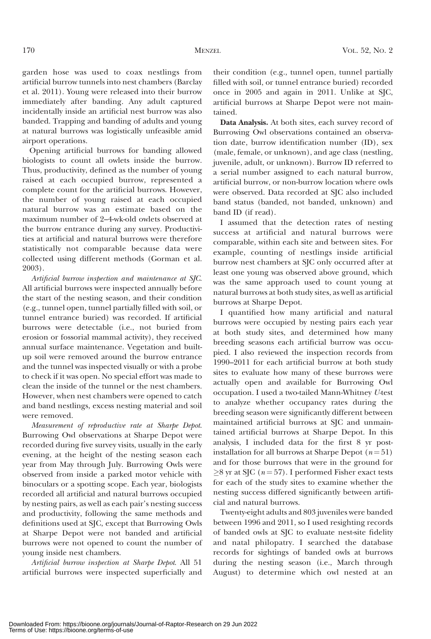garden hose was used to coax nestlings from artificial burrow tunnels into nest chambers (Barclay et al. 2011). Young were released into their burrow immediately after banding. Any adult captured incidentally inside an artificial nest burrow was also banded. Trapping and banding of adults and young at natural burrows was logistically unfeasible amid airport operations.

Opening artificial burrows for banding allowed biologists to count all owlets inside the burrow. Thus, productivity, defined as the number of young raised at each occupied burrow, represented a complete count for the artificial burrows. However, the number of young raised at each occupied natural burrow was an estimate based on the maximum number of 2–4-wk-old owlets observed at the burrow entrance during any survey. Productivities at artificial and natural burrows were therefore statistically not comparable because data were collected using different methods (Gorman et al. 2003).

Artificial burrow inspection and maintenance at SJC. All artificial burrows were inspected annually before the start of the nesting season, and their condition (e.g., tunnel open, tunnel partially filled with soil, or tunnel entrance buried) was recorded. If artificial burrows were detectable (i.e., not buried from erosion or fossorial mammal activity), they received annual surface maintenance. Vegetation and builtup soil were removed around the burrow entrance and the tunnel was inspected visually or with a probe to check if it was open. No special effort was made to clean the inside of the tunnel or the nest chambers. However, when nest chambers were opened to catch and band nestlings, excess nesting material and soil were removed.

Measurement of reproductive rate at Sharpe Depot. Burrowing Owl observations at Sharpe Depot were recorded during five survey visits, usually in the early evening, at the height of the nesting season each year from May through July. Burrowing Owls were observed from inside a parked motor vehicle with binoculars or a spotting scope. Each year, biologists recorded all artificial and natural burrows occupied by nesting pairs, as well as each pair's nesting success and productivity, following the same methods and definitions used at SJC, except that Burrowing Owls at Sharpe Depot were not banded and artificial burrows were not opened to count the number of young inside nest chambers.

Artificial burrow inspection at Sharpe Depot. All 51 artificial burrows were inspected superficially and their condition (e.g., tunnel open, tunnel partially filled with soil, or tunnel entrance buried) recorded once in 2005 and again in 2011. Unlike at SJC, artificial burrows at Sharpe Depot were not maintained.

Data Analysis. At both sites, each survey record of Burrowing Owl observations contained an observation date, burrow identification number (ID), sex (male, female, or unknown), and age class (nestling, juvenile, adult, or unknown). Burrow ID referred to a serial number assigned to each natural burrow, artificial burrow, or non-burrow location where owls were observed. Data recorded at SJC also included band status (banded, not banded, unknown) and band ID (if read).

I assumed that the detection rates of nesting success at artificial and natural burrows were comparable, within each site and between sites. For example, counting of nestlings inside artificial burrow nest chambers at SJC only occurred after at least one young was observed above ground, which was the same approach used to count young at natural burrows at both study sites, as well as artificial burrows at Sharpe Depot.

I quantified how many artificial and natural burrows were occupied by nesting pairs each year at both study sites, and determined how many breeding seasons each artificial burrow was occupied. I also reviewed the inspection records from 1990–2011 for each artificial burrow at both study sites to evaluate how many of these burrows were actually open and available for Burrowing Owl occupation. I used a two-tailed Mann-Whitney U-test to analyze whether occupancy rates during the breeding season were significantly different between maintained artificial burrows at SJC and unmaintained artificial burrows at Sharpe Depot. In this analysis, I included data for the first 8 yr postinstallation for all burrows at Sharpe Depot  $(n=51)$ and for those burrows that were in the ground for  $\geq$ 8 yr at SJC (*n* = 57). I performed Fisher exact tests for each of the study sites to examine whether the nesting success differed significantly between artificial and natural burrows.

Twenty-eight adults and 803 juveniles were banded between 1996 and 2011, so I used resighting records of banded owls at SJC to evaluate nest-site fidelity and natal philopatry. I searched the database records for sightings of banded owls at burrows during the nesting season (i.e., March through August) to determine which owl nested at an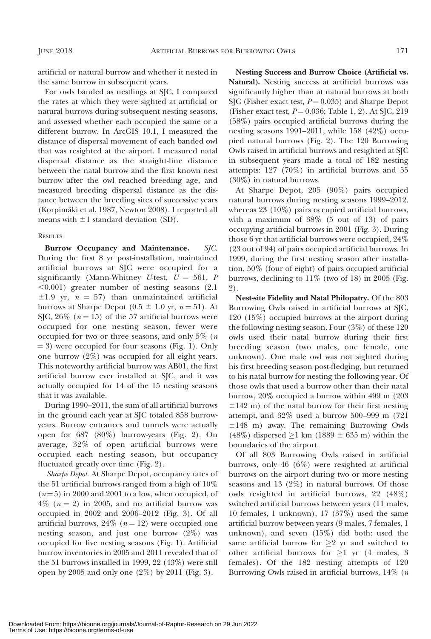artificial or natural burrow and whether it nested in the same burrow in subsequent years.

For owls banded as nestlings at SJC, I compared the rates at which they were sighted at artificial or natural burrows during subsequent nesting seasons, and assessed whether each occupied the same or a different burrow. In ArcGIS 10.1, I measured the distance of dispersal movement of each banded owl that was resighted at the airport. I measured natal dispersal distance as the straight-line distance between the natal burrow and the first known nest burrow after the owl reached breeding age, and measured breeding dispersal distance as the distance between the breeding sites of successive years (Korpimäki et al. 1987, Newton 2008). I reported all means with  $\pm 1$  standard deviation (SD).

#### **RESULTS**

Burrow Occupancy and Maintenance. SJC. During the first 8 yr post-installation, maintained artificial burrows at SJC were occupied for a significantly (Mann-Whitney U-test,  $U = 561$ , P  $\leq 0.001$ ) greater number of nesting seasons (2.1)  $\pm 1.9$  yr,  $n = 57$ ) than unmaintained artificial burrows at Sharpe Depot (0.5  $\pm$  1.0 yr, n = 51). At SJC,  $26\%$  ( $n = 15$ ) of the 57 artificial burrows were occupied for one nesting season, fewer were occupied for two or three seasons, and only  $5\%$  (*n*  $=$  3) were occupied for four seasons (Fig. 1). Only one burrow (2%) was occupied for all eight years. This noteworthy artificial burrow was AB01, the first artificial burrow ever installed at SJC, and it was actually occupied for 14 of the 15 nesting seasons that it was available.

During 1990–2011, the sum of all artificial burrows in the ground each year at SJC totaled 858 burrowyears. Burrow entrances and tunnels were actually open for 687 (80%) burrow-years (Fig. 2). On average, 32% of open artificial burrows were occupied each nesting season, but occupancy fluctuated greatly over time (Fig. 2).

Sharpe Depot. At Sharpe Depot, occupancy rates of the 51 artificial burrows ranged from a high of 10%  $(n=5)$  in 2000 and 2001 to a low, when occupied, of  $4\%$  ( $n = 2$ ) in 2005, and no artificial burrow was occupied in 2002 and 2006–2012 (Fig. 3). Of all artificial burrows,  $24\%$  ( $n = 12$ ) were occupied one nesting season, and just one burrow (2%) was occupied for five nesting seasons (Fig. 1). Artificial burrow inventories in 2005 and 2011 revealed that of the 51 burrows installed in 1999, 22 (43%) were still open by 2005 and only one (2%) by 2011 (Fig. 3).

Nesting Success and Burrow Choice (Artificial vs. Natural). Nesting success at artificial burrows was significantly higher than at natural burrows at both SJC (Fisher exact test,  $P = 0.035$ ) and Sharpe Depot (Fisher exact test,  $P = 0.036$ ; Table 1, 2). At SJC, 219 (58%) pairs occupied artificial burrows during the nesting seasons 1991–2011, while 158 (42%) occupied natural burrows (Fig. 2). The 120 Burrowing Owls raised in artificial burrows and resighted at SJC in subsequent years made a total of 182 nesting attempts: 127 (70%) in artificial burrows and 55 (30%) in natural burrows.

At Sharpe Depot, 205 (90%) pairs occupied natural burrows during nesting seasons 1999–2012, whereas 23 (10%) pairs occupied artificial burrows, with a maximum of 38% (5 out of 13) of pairs occupying artificial burrows in 2001 (Fig. 3). During those 6 yr that artificial burrows were occupied, 24% (23 out of 94) of pairs occupied artificial burrows. In 1999, during the first nesting season after installation, 50% (four of eight) of pairs occupied artificial burrows, declining to 11% (two of 18) in 2005 (Fig. 2).

Nest-site Fidelity and Natal Philopatry. Of the 803 Burrowing Owls raised in artificial burrows at SJC, 120 (15%) occupied burrows at the airport during the following nesting season. Four (3%) of these 120 owls used their natal burrow during their first breeding season (two males, one female, one unknown). One male owl was not sighted during his first breeding season post-fledging, but returned to his natal burrow for nesting the following year. Of those owls that used a burrow other than their natal burrow, 20% occupied a burrow within 499 m (203  $\pm 142$  m) of the natal burrow for their first nesting attempt, and 32% used a burrow 500–999 m (721  $\pm 148$  m) away. The remaining Burrowing Owls (48%) dispersed  $\geq$ 1 km (1889  $\pm$  635 m) within the boundaries of the airport.

Of all 803 Burrowing Owls raised in artificial burrows, only 46 (6%) were resighted at artificial burrows on the airport during two or more nesting seasons and 13 (2%) in natural burrows. Of those owls resighted in artificial burrows, 22 (48%) switched artificial burrows between years (11 males, 10 females, 1 unknown), 17 (37%) used the same artificial burrow between years (9 males, 7 females, 1 unknown), and seven (15%) did both: used the same artificial burrow for  $\geq 2$  yr and switched to other artificial burrows for  $\geq 1$  yr (4 males, 3 females). Of the 182 nesting attempts of 120 Burrowing Owls raised in artificial burrows,  $14\%$  (*n*)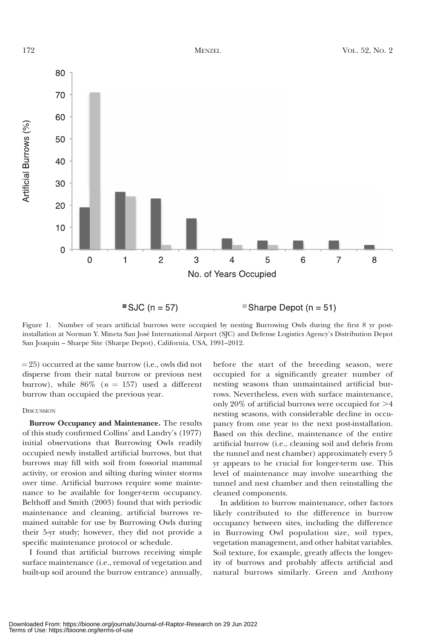

Figure 1. Number of years artificial burrows were occupied by nesting Burrowing Owls during the first 8 yr postinstallation at Norman Y. Mineta San Jose´ International Airport (SJC) and Defense Logistics Agency's Distribution Depot San Joaquin – Sharpe Site (Sharpe Depot), California, USA, 1991–2012.

 $=$  25) occurred at the same burrow (i.e., owls did not disperse from their natal burrow or previous nest burrow), while  $86\%$  ( $n = 157$ ) used a different burrow than occupied the previous year.

### **DISCUSSION**

Burrow Occupancy and Maintenance. The results of this study confirmed Collins' and Landry's (1977) initial observations that Burrowing Owls readily occupied newly installed artificial burrows, but that burrows may fill with soil from fossorial mammal activity, or erosion and silting during winter storms over time. Artificial burrows require some maintenance to be available for longer-term occupancy. Belthoff and Smith (2003) found that with periodic maintenance and cleaning, artificial burrows remained suitable for use by Burrowing Owls during their 5-yr study; however, they did not provide a specific maintenance protocol or schedule.

I found that artificial burrows receiving simple surface maintenance (i.e., removal of vegetation and built-up soil around the burrow entrance) annually, before the start of the breeding season, were occupied for a significantly greater number of nesting seasons than unmaintained artificial burrows. Nevertheless, even with surface maintenance, only 20% of artificial burrows were occupied for  $>4$ nesting seasons, with considerable decline in occupancy from one year to the next post-installation. Based on this decline, maintenance of the entire artificial burrow (i.e., cleaning soil and debris from the tunnel and nest chamber) approximately every 5 yr appears to be crucial for longer-term use. This level of maintenance may involve unearthing the tunnel and nest chamber and then reinstalling the cleaned components.

In addition to burrow maintenance, other factors likely contributed to the difference in burrow occupancy between sites, including the difference in Burrowing Owl population size, soil types, vegetation management, and other habitat variables. Soil texture, for example, greatly affects the longevity of burrows and probably affects artificial and natural burrows similarly. Green and Anthony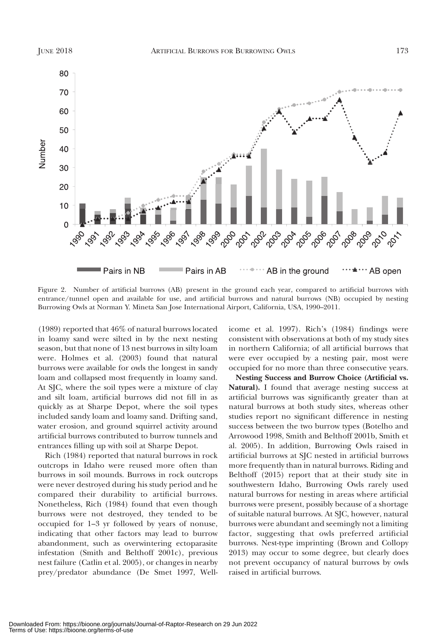

Figure 2. Number of artificial burrows (AB) present in the ground each year, compared to artificial burrows with entrance/tunnel open and available for use, and artificial burrows and natural burrows (NB) occupied by nesting Burrowing Owls at Norman Y. Mineta San Jose International Airport, California, USA, 1990–2011.

(1989) reported that 46% of natural burrows located in loamy sand were silted in by the next nesting season, but that none of 13 nest burrows in silty loam were. Holmes et al. (2003) found that natural burrows were available for owls the longest in sandy loam and collapsed most frequently in loamy sand. At SJC, where the soil types were a mixture of clay and silt loam, artificial burrows did not fill in as quickly as at Sharpe Depot, where the soil types included sandy loam and loamy sand. Drifting sand, water erosion, and ground squirrel activity around artificial burrows contributed to burrow tunnels and entrances filling up with soil at Sharpe Depot.

Rich (1984) reported that natural burrows in rock outcrops in Idaho were reused more often than burrows in soil mounds. Burrows in rock outcrops were never destroyed during his study period and he compared their durability to artificial burrows. Nonetheless, Rich (1984) found that even though burrows were not destroyed, they tended to be occupied for 1–3 yr followed by years of nonuse, indicating that other factors may lead to burrow abandonment, such as overwintering ectoparasite infestation (Smith and Belthoff 2001c), previous nest failure (Catlin et al. 2005), or changes in nearby prey/predator abundance (De Smet 1997, Wellicome et al. 1997). Rich's (1984) findings were consistent with observations at both of my study sites in northern California; of all artificial burrows that were ever occupied by a nesting pair, most were occupied for no more than three consecutive years.

Nesting Success and Burrow Choice (Artificial vs. Natural). I found that average nesting success at artificial burrows was significantly greater than at natural burrows at both study sites, whereas other studies report no significant difference in nesting success between the two burrow types (Botelho and Arrowood 1998, Smith and Belthoff 2001b, Smith et al. 2005). In addition, Burrowing Owls raised in artificial burrows at SJC nested in artificial burrows more frequently than in natural burrows. Riding and Belthoff (2015) report that at their study site in southwestern Idaho, Burrowing Owls rarely used natural burrows for nesting in areas where artificial burrows were present, possibly because of a shortage of suitable natural burrows. At SJC, however, natural burrows were abundant and seemingly not a limiting factor, suggesting that owls preferred artificial burrows. Nest-type imprinting (Brown and Collopy 2013) may occur to some degree, but clearly does not prevent occupancy of natural burrows by owls raised in artificial burrows.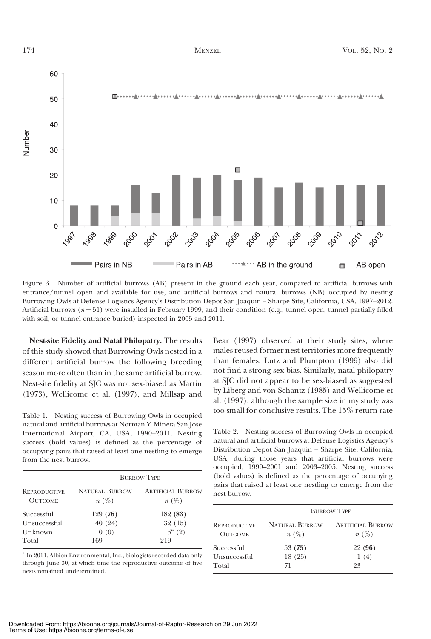

Figure 3. Number of artificial burrows (AB) present in the ground each year, compared to artificial burrows with entrance/tunnel open and available for use, and artificial burrows and natural burrows (NB) occupied by nesting Burrowing Owls at Defense Logistics Agency's Distribution Depot San Joaquin – Sharpe Site, California, USA, 1997–2012. Artificial burrows  $(n = 51)$  were installed in February 1999, and their condition (e.g., tunnel open, tunnel partially filled with soil, or tunnel entrance buried) inspected in 2005 and 2011.

Nest-site Fidelity and Natal Philopatry. The results of this study showed that Burrowing Owls nested in a different artificial burrow the following breeding season more often than in the same artificial burrow. Nest-site fidelity at SJC was not sex-biased as Martin (1973), Wellicome et al. (1997), and Millsap and

Table 1. Nesting success of Burrowing Owls in occupied natural and artificial burrows at Norman Y. Mineta San Jose International Airport, CA, USA, 1990–2011. Nesting success (bold values) is defined as the percentage of occupying pairs that raised at least one nestling to emerge from the nest burrow.

| <b>REPRODUCTIVE</b><br><b>OUTCOME</b> | <b>BURROW TYPE</b>        |                                  |
|---------------------------------------|---------------------------|----------------------------------|
|                                       | NATURAL BURROW<br>$n(\%)$ | <b>ARTIFICIAL BURROW</b><br>n(%) |
| Successful                            | 129(76)                   | 182 (83)                         |
| Unsuccessful                          | 40(24)                    | 32(15)                           |
| Unknown                               | 0(0)                      | $5^a(2)$                         |
| Total                                 | 169                       | 219                              |

<sup>a</sup> In 2011, Albion Environmental, Inc., biologists recorded data only through June 30, at which time the reproductive outcome of five nests remained undetermined.

Bear (1997) observed at their study sites, where males reused former nest territories more frequently than females. Lutz and Plumpton (1999) also did not find a strong sex bias. Similarly, natal philopatry at SJC did not appear to be sex-biased as suggested by Liberg and von Schantz (1985) and Wellicome et al. (1997), although the sample size in my study was too small for conclusive results. The 15% return rate

Table 2. Nesting success of Burrowing Owls in occupied natural and artificial burrows at Defense Logistics Agency's Distribution Depot San Joaquin – Sharpe Site, California, USA, during those years that artificial burrows were occupied, 1999–2001 and 2003–2005. Nesting success (bold values) is defined as the percentage of occupying pairs that raised at least one nestling to emerge from the nest burrow.

| <b>REPRODUCTIVE</b><br><b>OUTCOME</b> | <b>BURROW TYPE</b>        |                                  |
|---------------------------------------|---------------------------|----------------------------------|
|                                       | NATURAL BURROW<br>$n(\%)$ | <b>ARTIFICIAL BURROW</b><br>n(%) |
| Successful                            | 53(75)                    | 22 (96)                          |
| Unsuccessful                          | 18(25)                    | 1(4)                             |
| Total                                 | 71                        | 93                               |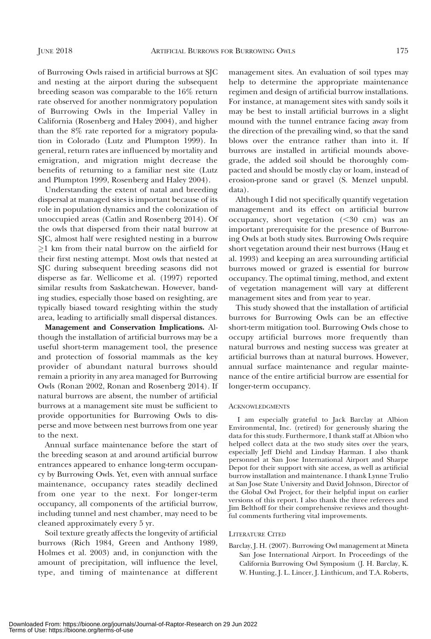of Burrowing Owls raised in artificial burrows at SJC and nesting at the airport during the subsequent breeding season was comparable to the 16% return rate observed for another nonmigratory population of Burrowing Owls in the Imperial Valley in California (Rosenberg and Haley 2004), and higher than the 8% rate reported for a migratory population in Colorado (Lutz and Plumpton 1999). In general, return rates are influenced by mortality and emigration, and migration might decrease the benefits of returning to a familiar nest site (Lutz and Plumpton 1999, Rosenberg and Haley 2004).

Understanding the extent of natal and breeding dispersal at managed sites is important because of its role in population dynamics and the colonization of unoccupied areas (Catlin and Rosenberg 2014). Of the owls that dispersed from their natal burrow at SJC, almost half were resighted nesting in a burrow  $\geq$ 1 km from their natal burrow on the airfield for their first nesting attempt. Most owls that nested at SJC during subsequent breeding seasons did not disperse as far. Wellicome et al. (1997) reported similar results from Saskatchewan. However, banding studies, especially those based on resighting, are typically biased toward resighting within the study area, leading to artificially small dispersal distances.

Management and Conservation Implications. Although the installation of artificial burrows may be a useful short-term management tool, the presence and protection of fossorial mammals as the key provider of abundant natural burrows should remain a priority in any area managed for Burrowing Owls (Ronan 2002, Ronan and Rosenberg 2014). If natural burrows are absent, the number of artificial burrows at a management site must be sufficient to provide opportunities for Burrowing Owls to disperse and move between nest burrows from one year to the next.

Annual surface maintenance before the start of the breeding season at and around artificial burrow entrances appeared to enhance long-term occupancy by Burrowing Owls. Yet, even with annual surface maintenance, occupancy rates steadily declined from one year to the next. For longer-term occupancy, all components of the artificial burrow, including tunnel and nest chamber, may need to be cleaned approximately every 5 yr.

Soil texture greatly affects the longevity of artificial burrows (Rich 1984, Green and Anthony 1989, Holmes et al. 2003) and, in conjunction with the amount of precipitation, will influence the level, type, and timing of maintenance at different

management sites. An evaluation of soil types may help to determine the appropriate maintenance regimen and design of artificial burrow installations. For instance, at management sites with sandy soils it may be best to install artificial burrows in a slight mound with the tunnel entrance facing away from the direction of the prevailing wind, so that the sand blows over the entrance rather than into it. If burrows are installed in artificial mounds abovegrade, the added soil should be thoroughly compacted and should be mostly clay or loam, instead of erosion-prone sand or gravel (S. Menzel unpubl. data).

Although I did not specifically quantify vegetation management and its effect on artificial burrow occupancy, short vegetation  $( $30 \text{ cm}$ )$  was an important prerequisite for the presence of Burrowing Owls at both study sites. Burrowing Owls require short vegetation around their nest burrows (Haug et al. 1993) and keeping an area surrounding artificial burrows mowed or grazed is essential for burrow occupancy. The optimal timing, method, and extent of vegetation management will vary at different management sites and from year to year.

This study showed that the installation of artificial burrows for Burrowing Owls can be an effective short-term mitigation tool. Burrowing Owls chose to occupy artificial burrows more frequently than natural burrows and nesting success was greater at artificial burrows than at natural burrows. However, annual surface maintenance and regular maintenance of the entire artificial burrow are essential for longer-term occupancy.

#### ACKNOWLEDGMENTS

I am especially grateful to Jack Barclay at Albion Environmental, Inc. (retired) for generously sharing the data for this study. Furthermore, I thank staff at Albion who helped collect data at the two study sites over the years, especially Jeff Diehl and Lindsay Harman. I also thank personnel at San Jose International Airport and Sharpe Depot for their support with site access, as well as artificial burrow installation and maintenance. I thank Lynne Trulio at San Jose State University and David Johnson, Director of the Global Owl Project, for their helpful input on earlier versions of this report. I also thank the three referees and Jim Belthoff for their comprehensive reviews and thoughtful comments furthering vital improvements.

#### LITERATURE CITED

Barclay, J. H. (2007). Burrowing Owl management at Mineta San Jose International Airport. In Proceedings of the California Burrowing Owl Symposium (J. H. Barclay, K. W. Hunting, J. L. Lincer, J. Linthicum, and T.A. Roberts,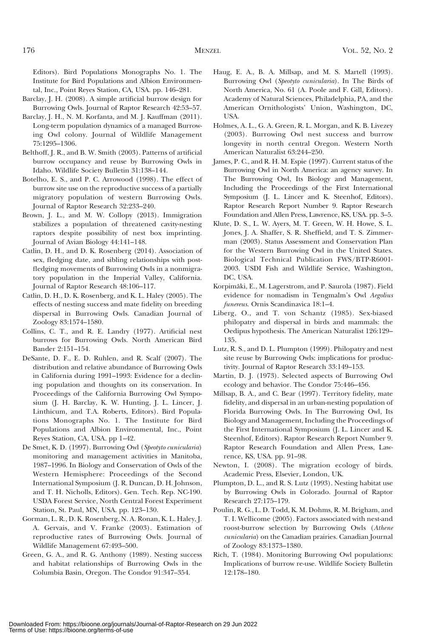Editors). Bird Populations Monographs No. 1. The Institute for Bird Populations and Albion Environmental, Inc., Point Reyes Station, CA, USA. pp. 146–281.

- Barclay, J. H. (2008). A simple artificial burrow design for Burrowing Owls. Journal of Raptor Research 42:53–57.
- Barclay, J. H., N. M. Korfanta, and M. J. Kauffman (2011). Long-term population dynamics of a managed Burrowing Owl colony. Journal of Wildlife Management 75:1295–1306.
- Belthoff, J. R., and B. W. Smith (2003). Patterns of artificial burrow occupancy and reuse by Burrowing Owls in Idaho. Wildlife Society Bulletin 31:138–144.
- Botelho, E. S., and P. C. Arrowood (1998). The effect of burrow site use on the reproductive success of a partially migratory population of western Burrowing Owls. Journal of Raptor Research 32:233–240.
- Brown, J. L., and M. W. Collopy (2013). Immigration stabilizes a population of threatened cavity-nesting raptors despite possibility of nest box imprinting. Journal of Avian Biology 44:141–148.
- Catlin, D. H., and D. K. Rosenberg (2014). Association of sex, fledging date, and sibling relationships with postfledging movements of Burrowing Owls in a nonmigratory population in the Imperial Valley, California. Journal of Raptor Research 48:106–117.
- Catlin, D. H., D. K. Rosenberg, and K. L. Haley (2005). The effects of nesting success and mate fidelity on breeding dispersal in Burrowing Owls. Canadian Journal of Zoology 83:1574–1580.
- Collins, C. T., and R. E. Landry (1977). Artificial nest burrows for Burrowing Owls. North American Bird Bander 2:151–154.
- DeSante, D. F., E. D. Ruhlen, and R. Scalf (2007). The distribution and relative abundance of Burrowing Owls in California during 1991–1993: Evidence for a declining population and thoughts on its conservation. In Proceedings of the California Burrowing Owl Symposium (J. H. Barclay, K. W. Hunting, J. L. Lincer, J. Linthicum, and T.A. Roberts, Editors). Bird Populations Monographs No. 1. The Institute for Bird Populations and Albion Environmental, Inc., Point Reyes Station, CA, USA. pp 1–42.
- De Smet, K. D. (1997). Burrowing Owl (Speotyto cunicularia) monitoring and management activities in Manitoba, 1987–1996. In Biology and Conservation of Owls of the Western Hemisphere: Proceedings of the Second International Symposium (J. R. Duncan, D. H. Johnson, and T. H. Nicholls, Editors). Gen. Tech. Rep. NC-190. USDA Forest Service, North Central Forest Experiment Station, St. Paul, MN, USA. pp. 123–130.
- Gorman, L. R., D. K. Rosenberg, N. A. Ronan, K. L. Haley, J. A. Gervais, and V. Franke (2003). Estimation of reproductive rates of Burrowing Owls. Journal of Wildlife Management 67:493–500.
- Green, G. A., and R. G. Anthony (1989). Nesting success and habitat relationships of Burrowing Owls in the Columbia Basin, Oregon. The Condor 91:347–354.
- Haug, E. A., B. A. Millsap, and M. S. Martell (1993). Burrowing Owl (Speotyto cunicularia). In The Birds of North America, No. 61 (A. Poole and F. Gill, Editors). Academy of Natural Sciences, Philadelphia, PA, and the American Ornithologists' Union, Washington, DC, USA.
- Holmes, A. L., G. A. Green, R. L. Morgan, and K. B. Livezey (2003). Burrowing Owl nest success and burrow longevity in north central Oregon. Western North American Naturalist 63:244–250.
- James, P. C., and R. H. M. Espie (1997). Current status of the Burrowing Owl in North America: an agency survey. In The Burrowing Owl, Its Biology and Management, Including the Proceedings of the First International Symposium (J. L. Lincer and K. Steenhof, Editors). Raptor Research Report Number 9. Raptor Research Foundation and Allen Press, Lawrence, KS, USA. pp. 3–5.
- Klute, D. S., L. W. Ayers, M. T. Green, W. H. Howe, S. L. Jones, J. A. Shaffer, S. R. Sheffield, and T. S. Zimmerman (2003). Status Assessment and Conservation Plan for the Western Burrowing Owl in the United States. Biological Technical Publication FWS/BTP-R6001- 2003. USDI Fish and Wildlife Service, Washington, DC, USA.
- Korpimaki, E., M. Lagerstrom, and P. Saurola (1987). Field ¨ evidence for nomadism in Tengmalm's Owl Aegolius funereus. Ornis Scandinavica 18:1–4.
- Liberg, O., and T. von Schantz (1985). Sex-biased philopatry and dispersal in birds and mammals: the Oedipus hypothesis. The American Naturalist 126:129– 135.
- Lutz, R. S., and D. L. Plumpton (1999). Philopatry and nest site reuse by Burrowing Owls: implications for productivity. Journal of Raptor Research 33:149–153.
- Martin, D. J. (1973). Selected aspects of Burrowing Owl ecology and behavior. The Condor 75:446–456.
- Millsap, B. A., and C. Bear (1997). Territory fidelity, mate fidelity, and dispersal in an urban-nesting population of Florida Burrowing Owls. In The Burrowing Owl, Its Biology and Management, Including the Proceedings of the First International Symposium (J. L. Lincer and K. Steenhof, Editors). Raptor Research Report Number 9. Raptor Research Foundation and Allen Press, Lawrence, KS, USA. pp. 91–98.
- Newton, I. (2008). The migration ecology of birds. Academic Press, Elsevier, London, UK.
- Plumpton, D. L., and R. S. Lutz (1993). Nesting habitat use by Burrowing Owls in Colorado. Journal of Raptor Research 27:175–179.
- Poulin, R. G., L. D. Todd, K. M. Dohms, R. M. Brigham, and T. I. Wellicome (2005). Factors associated with nest-and roost-burrow selection by Burrowing Owls (Athene cunicularia) on the Canadian prairies. Canadian Journal of Zoology 83:1373–1380.
- Rich, T. (1984). Monitoring Burrowing Owl populations: Implications of burrow re-use. Wildlife Society Bulletin 12:178–180.